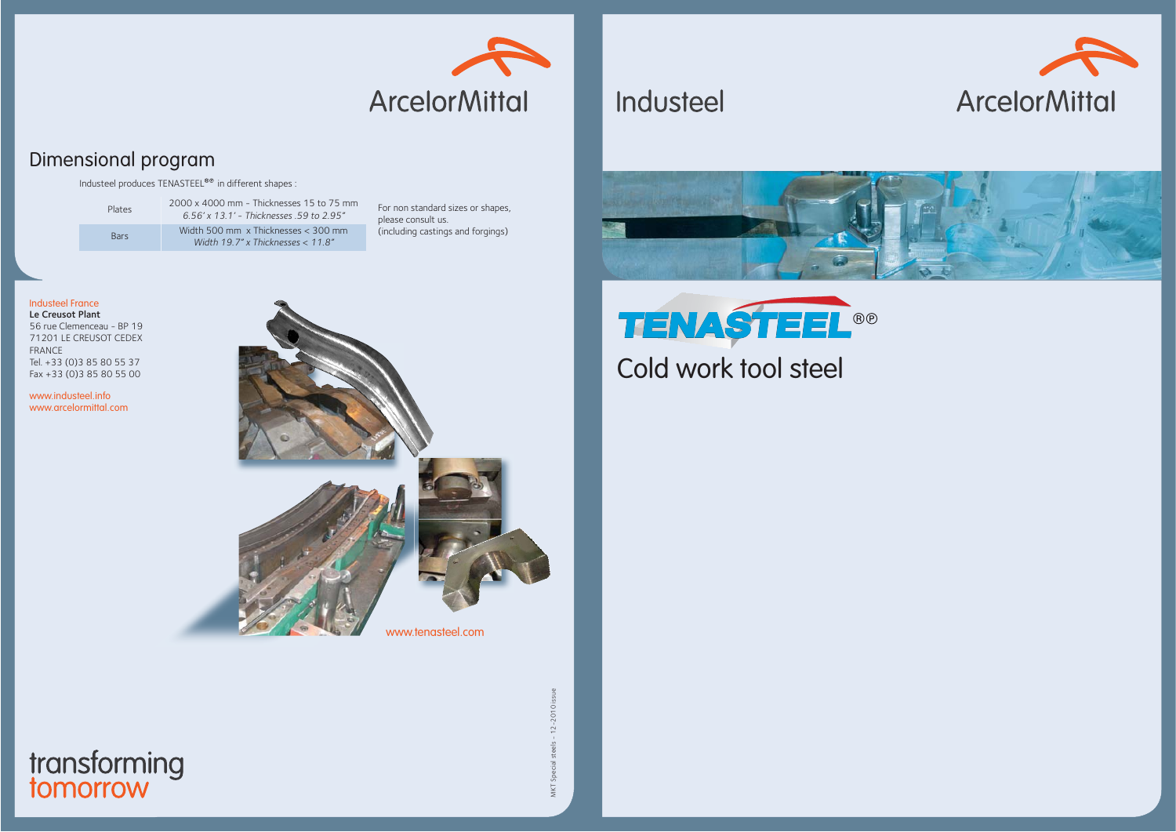

## Dimensional program

Industeel produces  $TENASTEEL^{\otimes \otimes}$  in different shapes :

| Plates      | 2000 x 4000 mm - Thicknesses 15 to 75 mm<br>6.56' x 13.1' - Thicknesses .59 to 2.95" |
|-------------|--------------------------------------------------------------------------------------|
| <b>Bars</b> | Width 500 mm $\times$ Thicknesses $<$ 300 mm<br>Width 19.7" x Thicknesses $< 11.8"$  |

For non standard sizes or shapes, please consult us. (including castings and forgings)

#### Industeel France

Le Creusot Plant 56 rue Clemenceau - BP 19 71201 LE CREUSOT CEDEXFRANCE Tel. +33 (0)3 85 80 55 37 Fax +33 (0)3 85 80 55 00

www.industeel.infowww.arcelormittal.com



MKT Special steels - 12-2010 issue  $2 - 20'$ 







Industeel